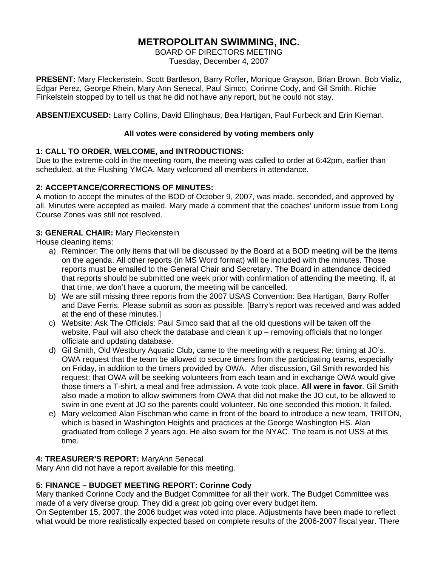# **METROPOLITAN SWIMMING, INC.**

BOARD OF DIRECTORS MEETING Tuesday, December 4, 2007

**PRESENT:** Mary Fleckenstein, Scott Bartleson, Barry Roffer, Monique Grayson, Brian Brown, Bob Vializ, Edgar Perez, George Rhein, Mary Ann Senecal, Paul Simco, Corinne Cody, and Gil Smith. Richie Finkelstein stopped by to tell us that he did not have any report, but he could not stay.

**ABSENT/EXCUSED:** Larry Collins, David Ellinghaus, Bea Hartigan, Paul Furbeck and Erin Kiernan.

### **All votes were considered by voting members only**

# **1: CALL TO ORDER, WELCOME, and INTRODUCTIONS:**

Due to the extreme cold in the meeting room, the meeting was called to order at 6:42pm, earlier than scheduled, at the Flushing YMCA. Mary welcomed all members in attendance.

### **2: ACCEPTANCE/CORRECTIONS OF MINUTES:**

A motion to accept the minutes of the BOD of October 9, 2007, was made, seconded, and approved by all. Minutes were accepted as mailed. Mary made a comment that the coaches' uniform issue from Long Course Zones was still not resolved.

### **3: GENERAL CHAIR:** Mary Fleckenstein

House cleaning items:

- a) Reminder: The only items that will be discussed by the Board at a BOD meeting will be the items on the agenda. All other reports (in MS Word format) will be included with the minutes. Those reports must be emailed to the General Chair and Secretary. The Board in attendance decided that reports should be submitted one week prior with confirmation of attending the meeting. If, at that time, we don't have a quorum, the meeting will be cancelled.
- b) We are still missing three reports from the 2007 USAS Convention: Bea Hartigan, Barry Roffer and Dave Ferris. Please submit as soon as possible. [Barry's report was received and was added at the end of these minutes.]
- c) Website: Ask The Officials: Paul Simco said that all the old questions will be taken off the website. Paul will also check the database and clean it up – removing officials that no longer officiate and updating database.
- d) Gil Smith, Old Westbury Aquatic Club, came to the meeting with a request Re: timing at JO's. OWA request that the team be allowed to secure timers from the participating teams, especially on Friday, in addition to the timers provided by OWA. After discussion, Gil Smith reworded his request: that OWA will be seeking volunteers from each team and in exchange OWA would give those timers a T-shirt, a meal and free admission. A vote took place. **All were in favor**. Gil Smith also made a motion to allow swimmers from OWA that did not make the JO cut, to be allowed to swim in one event at JO so the parents could volunteer. No one seconded this motion. It failed.
- e) Mary welcomed Alan Fischman who came in front of the board to introduce a new team, TRITON, which is based in Washington Heights and practices at the George Washington HS. Alan graduated from college 2 years ago. He also swam for the NYAC. The team is not USS at this time.

# **4: TREASURER'S REPORT:** MaryAnn Senecal

Mary Ann did not have a report available for this meeting.

# **5: FINANCE – BUDGET MEETING REPORT: Corinne Cody**

Mary thanked Corinne Cody and the Budget Committee for all their work. The Budget Committee was made of a very diverse group. They did a great job going over every budget item.

On September 15, 2007, the 2006 budget was voted into place. Adjustments have been made to reflect what would be more realistically expected based on complete results of the 2006-2007 fiscal year. There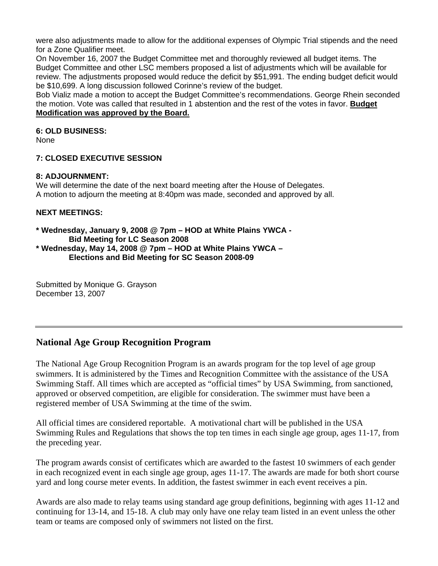were also adjustments made to allow for the additional expenses of Olympic Trial stipends and the need for a Zone Qualifier meet.

On November 16, 2007 the Budget Committee met and thoroughly reviewed all budget items. The Budget Committee and other LSC members proposed a list of adjustments which will be available for review. The adjustments proposed would reduce the deficit by \$51,991. The ending budget deficit would be \$10,699. A long discussion followed Corinne's review of the budget.

Bob Vializ made a motion to accept the Budget Committee's recommendations. George Rhein seconded the motion. Vote was called that resulted in 1 abstention and the rest of the votes in favor. **Budget Modification was approved by the Board.**

# **6: OLD BUSINESS:**

None

### **7: CLOSED EXECUTIVE SESSION**

#### **8: ADJOURNMENT:**

We will determine the date of the next board meeting after the House of Delegates. A motion to adjourn the meeting at 8:40pm was made, seconded and approved by all.

### **NEXT MEETINGS:**

#### **\* Wednesday, January 9, 2008 @ 7pm – HOD at White Plains YWCA - Bid Meeting for LC Season 2008 \* Wednesday, May 14, 2008 @ 7pm – HOD at White Plains YWCA –**

 **Elections and Bid Meeting for SC Season 2008-09** 

Submitted by Monique G. Grayson December 13, 2007

# **National Age Group Recognition Program**

The National Age Group Recognition Program is an awards program for the top level of age group swimmers. It is administered by the Times and Recognition Committee with the assistance of the USA Swimming Staff. All times which are accepted as "official times" by USA Swimming, from sanctioned, approved or observed competition, are eligible for consideration. The swimmer must have been a registered member of USA Swimming at the time of the swim.

All official times are considered reportable. A motivational chart will be published in the USA Swimming Rules and Regulations that shows the top ten times in each single age group, ages 11-17, from the preceding year.

The program awards consist of certificates which are awarded to the fastest 10 swimmers of each gender in each recognized event in each single age group, ages 11-17. The awards are made for both short course yard and long course meter events. In addition, the fastest swimmer in each event receives a pin.

Awards are also made to relay teams using standard age group definitions, beginning with ages 11-12 and continuing for 13-14, and 15-18. A club may only have one relay team listed in an event unless the other team or teams are composed only of swimmers not listed on the first.